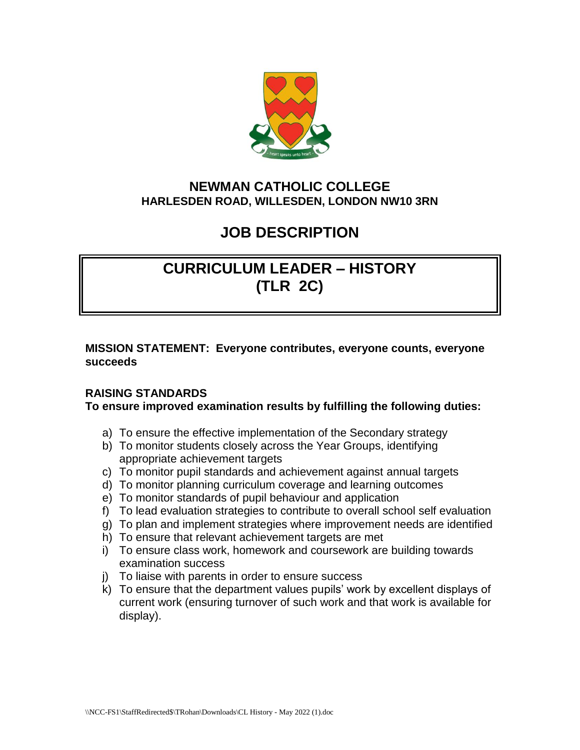

## **NEWMAN CATHOLIC COLLEGE HARLESDEN ROAD, WILLESDEN, LONDON NW10 3RN**

## **JOB DESCRIPTION**

# **CURRICULUM LEADER – HISTORY (TLR 2C)**

**MISSION STATEMENT: Everyone contributes, everyone counts, everyone succeeds** 

### **RAISING STANDARDS**

#### **To ensure improved examination results by fulfilling the following duties:**

- a) To ensure the effective implementation of the Secondary strategy
- b) To monitor students closely across the Year Groups, identifying appropriate achievement targets
- c) To monitor pupil standards and achievement against annual targets
- d) To monitor planning curriculum coverage and learning outcomes
- e) To monitor standards of pupil behaviour and application
- f) To lead evaluation strategies to contribute to overall school self evaluation
- g) To plan and implement strategies where improvement needs are identified
- h) To ensure that relevant achievement targets are met
- i) To ensure class work, homework and coursework are building towards examination success
- j) To liaise with parents in order to ensure success
- k) To ensure that the department values pupils' work by excellent displays of current work (ensuring turnover of such work and that work is available for display).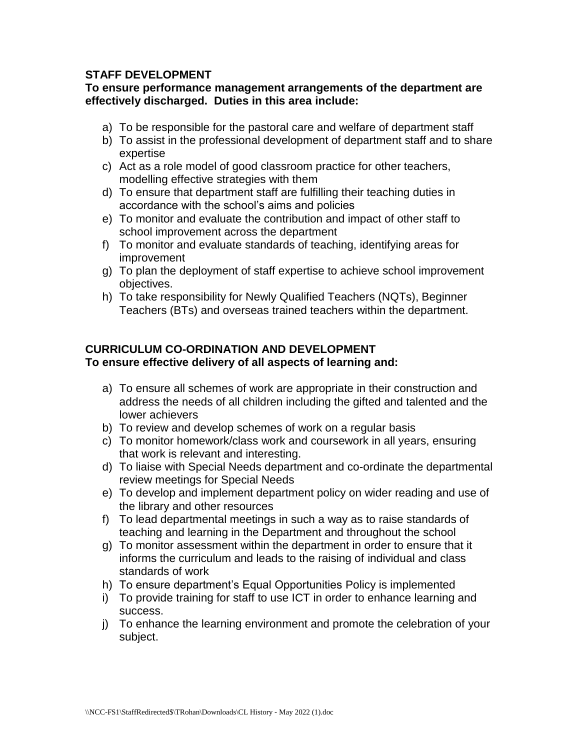#### **STAFF DEVELOPMENT**

#### **To ensure performance management arrangements of the department are effectively discharged. Duties in this area include:**

- a) To be responsible for the pastoral care and welfare of department staff
- b) To assist in the professional development of department staff and to share expertise
- c) Act as a role model of good classroom practice for other teachers, modelling effective strategies with them
- d) To ensure that department staff are fulfilling their teaching duties in accordance with the school's aims and policies
- e) To monitor and evaluate the contribution and impact of other staff to school improvement across the department
- f) To monitor and evaluate standards of teaching, identifying areas for improvement
- g) To plan the deployment of staff expertise to achieve school improvement objectives.
- h) To take responsibility for Newly Qualified Teachers (NQTs), Beginner Teachers (BTs) and overseas trained teachers within the department.

## **CURRICULUM CO-ORDINATION AND DEVELOPMENT To ensure effective delivery of all aspects of learning and:**

- a) To ensure all schemes of work are appropriate in their construction and address the needs of all children including the gifted and talented and the lower achievers
- b) To review and develop schemes of work on a regular basis
- c) To monitor homework/class work and coursework in all years, ensuring that work is relevant and interesting.
- d) To liaise with Special Needs department and co-ordinate the departmental review meetings for Special Needs
- e) To develop and implement department policy on wider reading and use of the library and other resources
- f) To lead departmental meetings in such a way as to raise standards of teaching and learning in the Department and throughout the school
- g) To monitor assessment within the department in order to ensure that it informs the curriculum and leads to the raising of individual and class standards of work
- h) To ensure department's Equal Opportunities Policy is implemented
- i) To provide training for staff to use ICT in order to enhance learning and success.
- j) To enhance the learning environment and promote the celebration of your subject.